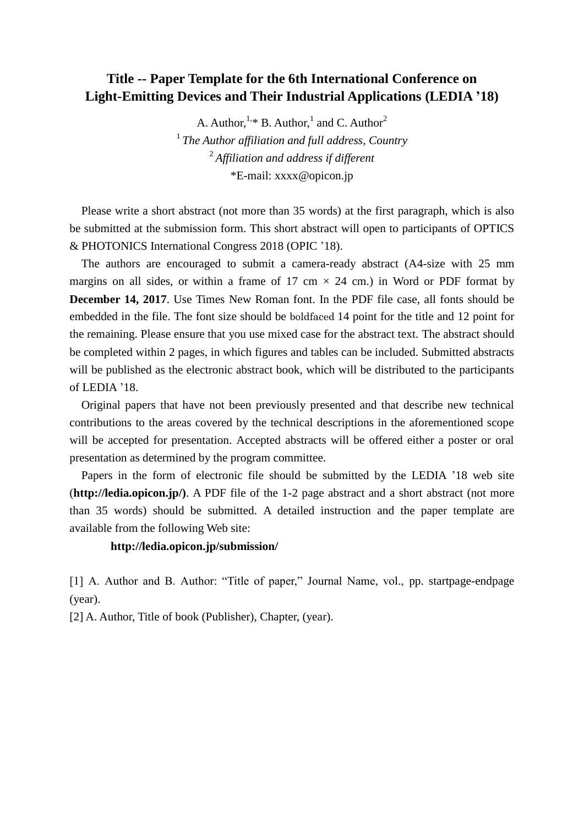## **Title -- Paper Template for the 6th International Conference on Light-Emitting Devices and Their Industrial Applications (LEDIA '18)**

A. Author,  $1,*$  B. Author,  $1$  and C. Author<sup>2</sup>

1 *The Author affiliation and full address, Country* 2 *Affiliation and address if different* \*E-mail: xxxx@opicon.jp

 Please write a short abstract (not more than 35 words) at the first paragraph, which is also be submitted at the submission form. This short abstract will open to participants of OPTICS & PHOTONICS International Congress 2018 (OPIC '18).

 The authors are encouraged to submit a camera-ready abstract (A4-size with 25 mm margins on all sides, or within a frame of 17 cm  $\times$  24 cm.) in Word or PDF format by **December 14, 2017**. Use Times New Roman font. In the PDF file case, all fonts should be embedded in the file. The font size should be boldfaced 14 point for the title and 12 point for the remaining. Please ensure that you use mixed case for the abstract text. The abstract should be completed within 2 pages, in which figures and tables can be included. Submitted abstracts will be published as the electronic abstract book, which will be distributed to the participants of LEDIA '18.

 Original papers that have not been previously presented and that describe new technical contributions to the areas covered by the technical descriptions in the aforementioned scope will be accepted for presentation. Accepted abstracts will be offered either a poster or oral presentation as determined by the program committee.

 Papers in the form of electronic file should be submitted by the LEDIA '18 web site (**http://ledia.opicon.jp/)**. A PDF file of the 1-2 page abstract and a short abstract (not more than 35 words) should be submitted. A detailed instruction and the paper template are available from the following Web site:

## **http://ledia.opicon.jp/submission/**

[1] A. Author and B. Author: "Title of paper," Journal Name, vol., pp. startpage-endpage (year).

[2] A. Author, Title of book (Publisher), Chapter, (year).